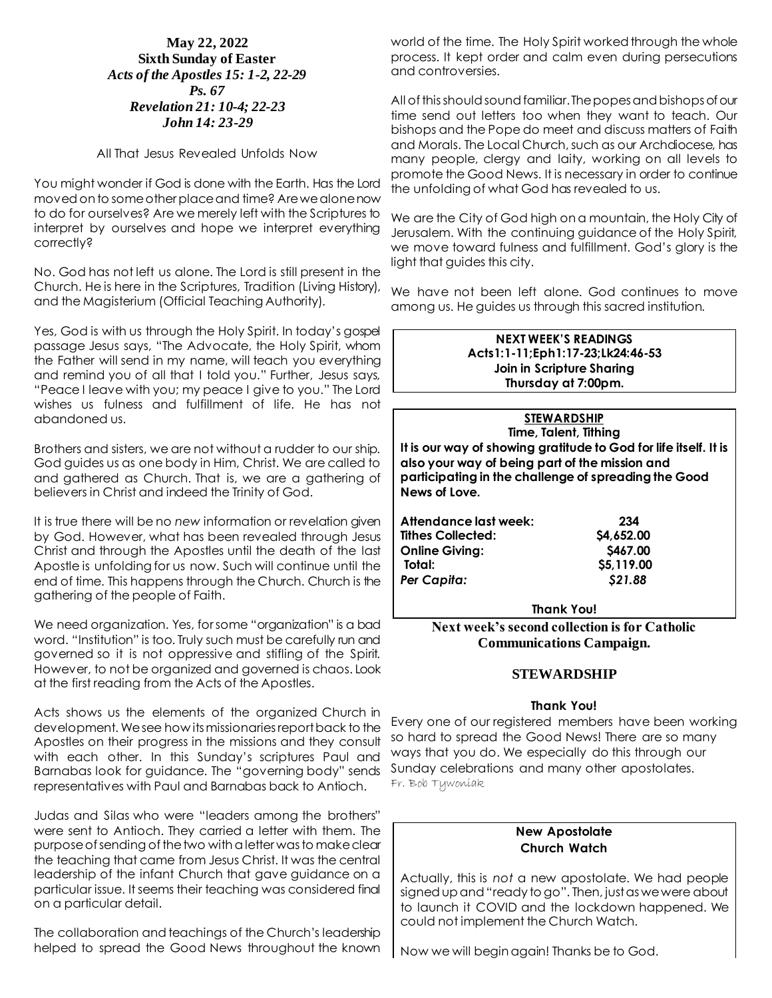## **May 22, 2022 Sixth Sunday of Easter** *Acts of the Apostles 15: 1-2, 22-29 Ps. 67 Revelation 21: 10-4; 22-23 John 14: 23-29*

### All That Jesus Revealed Unfolds Now

You might wonder if God is done with the Earth. Has the Lord moved on to some other place and time? Are we alone now to do for ourselves? Are we merely left with the Scriptures to interpret by ourselves and hope we interpret everything correctly?

No. God has not left us alone. The Lord is still present in the Church. He is here in the Scriptures, Tradition (Living History), and the Magisterium (Official Teaching Authority).

Yes, God is with us through the Holy Spirit. In today's gospel passage Jesus says, "The Advocate, the Holy Spirit, whom the Father will send in my name, will teach you everything and remind you of all that I told you." Further, Jesus says, "Peace I leave with you; my peace I give to you." The Lord wishes us fulness and fulfillment of life. He has not abandoned us.

Brothers and sisters, we are not without a rudder to our ship. God guides us as one body in Him, Christ. We are called to and gathered as Church. That is, we are a gathering of believers in Christ and indeed the Trinity of God.

It is true there will be no *new* information or revelation given by God. However, what has been revealed through Jesus Christ and through the Apostles until the death of the last Apostle is unfolding for us now. Such will continue until the end of time. This happens through the Church. Church is the gathering of the people of Faith.

We need organization. Yes, for some "organization" is a bad word. "Institution" is too. Truly such must be carefully run and governed so it is not oppressive and stifling of the Spirit. However, to not be organized and governed is chaos. Look at the first reading from the Acts of the Apostles.

Acts shows us the elements of the organized Church in development. We see how its missionaries report back to the Apostles on their progress in the missions and they consult with each other. In this Sunday's scriptures Paul and Barnabas look for guidance. The "governing body" sends representatives with Paul and Barnabas back to Antioch.

Judas and Silas who were "leaders among the brothers" were sent to Antioch. They carried a letter with them. The purpose of sending of the two with a letter was to make clear the teaching that came from Jesus Christ. It was the central leadership of the infant Church that gave guidance on a particular issue. It seems their teaching was considered final on a particular detail.

The collaboration and teachings of the Church's leadership helped to spread the Good News throughout the known

world of the time. The Holy Spirit worked through the whole process. It kept order and calm even during persecutions and controversies.

All of this should sound familiar. The popes and bishops of our time send out letters too when they want to teach. Our bishops and the Pope do meet and discuss matters of Faith and Morals. The Local Church, such as our Archdiocese, has many people, clergy and laity, working on all levels to promote the Good News. It is necessary in order to continue the unfolding of what God has revealed to us.

We are the City of God high on a mountain, the Holy City of Jerusalem. With the continuing guidance of the Holy Spirit, we move toward fulness and fulfillment. God's glory is the light that guides this city.

We have not been left alone. God continues to move among us. He guides us through this sacred institution.

#### **NEXT WEEK'S READINGS Acts1:1-11;Eph1:17-23;Lk24:46-53 Join in Scripture Sharing Thursday at 7:00pm.**

**STEWARDSHIP Time, Talent, Tithing It is our way of showing gratitude to God for life itself. It is also your way of being part of the mission and participating in the challenge of spreading the Good News of Love.**

| Attendance last week:    | 234        |
|--------------------------|------------|
| <b>Tithes Collected:</b> | \$4,652.00 |
| <b>Online Giving:</b>    | \$467.00   |
| Total:                   | \$5,119.00 |
| Per Capita:              | \$21.88    |
|                          |            |

**Thank You!**

**Next week's second collection is for Catholic Communications Campaign.**

# **STEWARDSHIP**

## **Thank You!**

Every one of our registered members have been working so hard to spread the Good News! There are so many ways that you do. We especially do this through our Sunday celebrations and many other apostolates. Fr. Bob Tywoniak

### **New Apostolate Church Watch**

Actually, this is *not* a new apostolate. We had people signed up and "ready to go". Then, just as we were about to launch it COVID and the lockdown happened. We could not implement the Church Watch.

Now we will begin again! Thanks be to God.